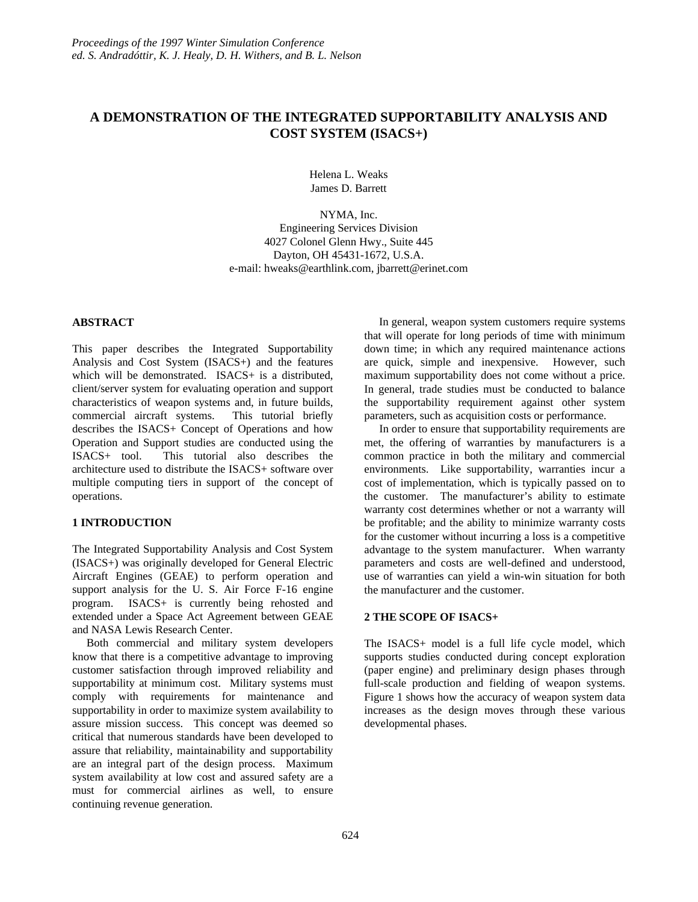# **A DEMONSTRATION OF THE INTEGRATED SUPPORTABILITY ANALYSIS AND COST SYSTEM (ISACS+)**

Helena L. Weaks James D. Barrett

NYMA, Inc. Engineering Services Division 4027 Colonel Glenn Hwy., Suite 445 Dayton, OH 45431-1672, U.S.A. e-mail: hweaks@earthlink.com, jbarrett@erinet.com

# **ABSTRACT**

This paper describes the Integrated Supportability Analysis and Cost System (ISACS+) and the features which will be demonstrated. ISACS+ is a distributed, client/server system for evaluating operation and support characteristics of weapon systems and, in future builds, commercial aircraft systems. This tutorial briefly describes the ISACS+ Concept of Operations and how Operation and Support studies are conducted using the ISACS+ tool. This tutorial also describes the architecture used to distribute the ISACS+ software over multiple computing tiers in support of the concept of operations.

# **1 INTRODUCTION**

The Integrated Supportability Analysis and Cost System (ISACS+) was originally developed for General Electric Aircraft Engines (GEAE) to perform operation and support analysis for the U. S. Air Force F-16 engine program. ISACS+ is currently being rehosted and extended under a Space Act Agreement between GEAE and NASA Lewis Research Center.

 Both commercial and military system developers know that there is a competitive advantage to improving customer satisfaction through improved reliability and supportability at minimum cost. Military systems must comply with requirements for maintenance and supportability in order to maximize system availability to assure mission success. This concept was deemed so critical that numerous standards have been developed to assure that reliability, maintainability and supportability are an integral part of the design process. Maximum system availability at low cost and assured safety are a must for commercial airlines as well, to ensure continuing revenue generation.

 In general, weapon system customers require systems that will operate for long periods of time with minimum down time; in which any required maintenance actions are quick, simple and inexpensive. However, such maximum supportability does not come without a price. In general, trade studies must be conducted to balance the supportability requirement against other system parameters, such as acquisition costs or performance.

 In order to ensure that supportability requirements are met, the offering of warranties by manufacturers is a common practice in both the military and commercial environments. Like supportability, warranties incur a cost of implementation, which is typically passed on to the customer. The manufacturer's ability to estimate warranty cost determines whether or not a warranty will be profitable; and the ability to minimize warranty costs for the customer without incurring a loss is a competitive advantage to the system manufacturer. When warranty parameters and costs are well-defined and understood, use of warranties can yield a win-win situation for both the manufacturer and the customer.

# **2 THE SCOPE OF ISACS+**

The ISACS+ model is a full life cycle model, which supports studies conducted during concept exploration (paper engine) and preliminary design phases through full-scale production and fielding of weapon systems. Figure 1 shows how the accuracy of weapon system data increases as the design moves through these various developmental phases.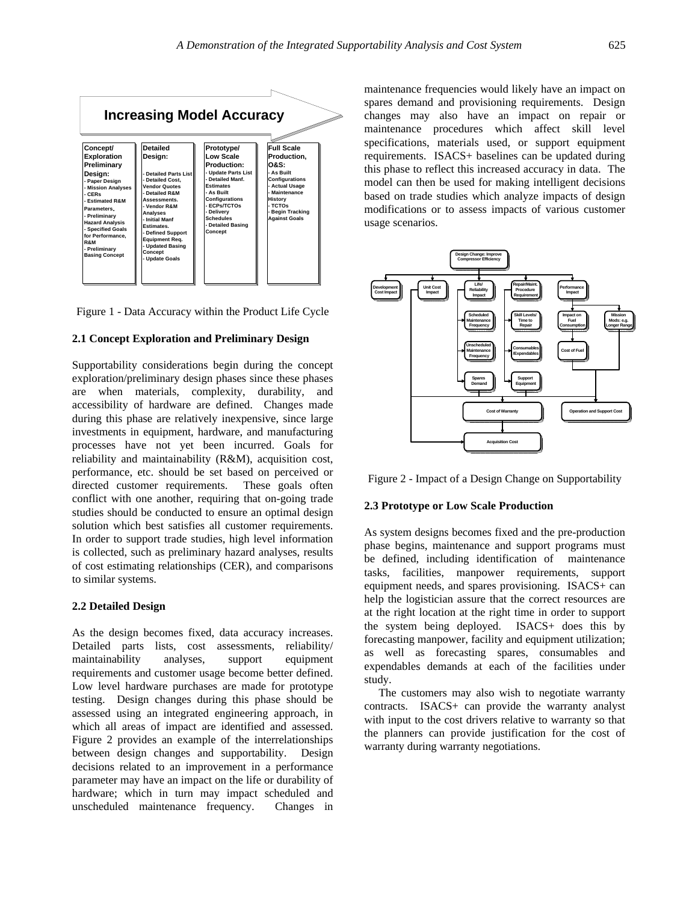

Figure 1 - Data Accuracy within the Product Life Cycle

### **2.1 Concept Exploration and Preliminary Design**

Supportability considerations begin during the concept exploration/preliminary design phases since these phases are when materials, complexity, durability, and accessibility of hardware are defined. Changes made during this phase are relatively inexpensive, since large investments in equipment, hardware, and manufacturing processes have not yet been incurred. Goals for reliability and maintainability (R&M), acquisition cost, performance, etc. should be set based on perceived or directed customer requirements. These goals often conflict with one another, requiring that on-going trade studies should be conducted to ensure an optimal design solution which best satisfies all customer requirements. In order to support trade studies, high level information is collected, such as preliminary hazard analyses, results of cost estimating relationships (CER), and comparisons to similar systems.

### **2.2 Detailed Design**

As the design becomes fixed, data accuracy increases. Detailed parts lists, cost assessments, reliability/ maintainability analyses, support equipment requirements and customer usage become better defined. Low level hardware purchases are made for prototype testing. Design changes during this phase should be assessed using an integrated engineering approach, in which all areas of impact are identified and assessed. Figure 2 provides an example of the interrelationships between design changes and supportability. Design decisions related to an improvement in a performance parameter may have an impact on the life or durability of hardware; which in turn may impact scheduled and unscheduled maintenance frequency. Changes in

maintenance frequencies would likely have an impact on spares demand and provisioning requirements. Design changes may also have an impact on repair or maintenance procedures which affect skill level specifications, materials used, or support equipment requirements. ISACS+ baselines can be updated during this phase to reflect this increased accuracy in data. The model can then be used for making intelligent decisions based on trade studies which analyze impacts of design modifications or to assess impacts of various customer usage scenarios.



Figure 2 - Impact of a Design Change on Supportability

### **2.3 Prototype or Low Scale Production**

As system designs becomes fixed and the pre-production phase begins, maintenance and support programs must be defined, including identification of maintenance tasks, facilities, manpower requirements, support equipment needs, and spares provisioning. ISACS+ can help the logistician assure that the correct resources are at the right location at the right time in order to support the system being deployed. ISACS+ does this by forecasting manpower, facility and equipment utilization; as well as forecasting spares, consumables and expendables demands at each of the facilities under study.

 The customers may also wish to negotiate warranty contracts. ISACS+ can provide the warranty analyst with input to the cost drivers relative to warranty so that the planners can provide justification for the cost of warranty during warranty negotiations.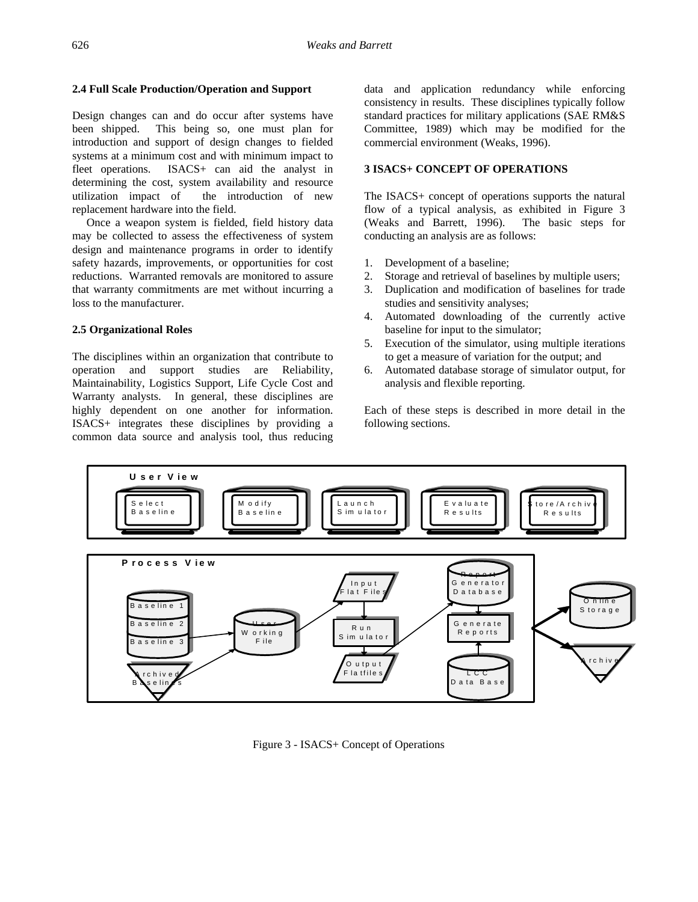# **2.4 Full Scale Production/Operation and Support**

Design changes can and do occur after systems have been shipped. This being so, one must plan for introduction and support of design changes to fielded systems at a minimum cost and with minimum impact to fleet operations. ISACS+ can aid the analyst in determining the cost, system availability and resource utilization impact of the introduction of new replacement hardware into the field.

 Once a weapon system is fielded, field history data may be collected to assess the effectiveness of system design and maintenance programs in order to identify safety hazards, improvements, or opportunities for cost reductions. Warranted removals are monitored to assure that warranty commitments are met without incurring a loss to the manufacturer.

# **2.5 Organizational Roles**

The disciplines within an organization that contribute to operation and support studies are Reliability, Maintainability, Logistics Support, Life Cycle Cost and Warranty analysts. In general, these disciplines are highly dependent on one another for information. ISACS+ integrates these disciplines by providing a common data source and analysis tool, thus reducing

data and application redundancy while enforcing consistency in results. These disciplines typically follow standard practices for military applications (SAE RM&S Committee, 1989) which may be modified for the commercial environment (Weaks, 1996).

# **3 ISACS+ CONCEPT OF OPERATIONS**

The ISACS+ concept of operations supports the natural flow of a typical analysis, as exhibited in Figure 3 (Weaks and Barrett, 1996). The basic steps for conducting an analysis are as follows:

- 1. Development of a baseline;
- 2. Storage and retrieval of baselines by multiple users;
- 3. Duplication and modification of baselines for trade studies and sensitivity analyses;
- 4. Automated downloading of the currently active baseline for input to the simulator;
- 5. Execution of the simulator, using multiple iterations to get a measure of variation for the output; and
- 6. Automated database storage of simulator output, for analysis and flexible reporting.

Each of these steps is described in more detail in the following sections.



Figure 3 - ISACS+ Concept of Operations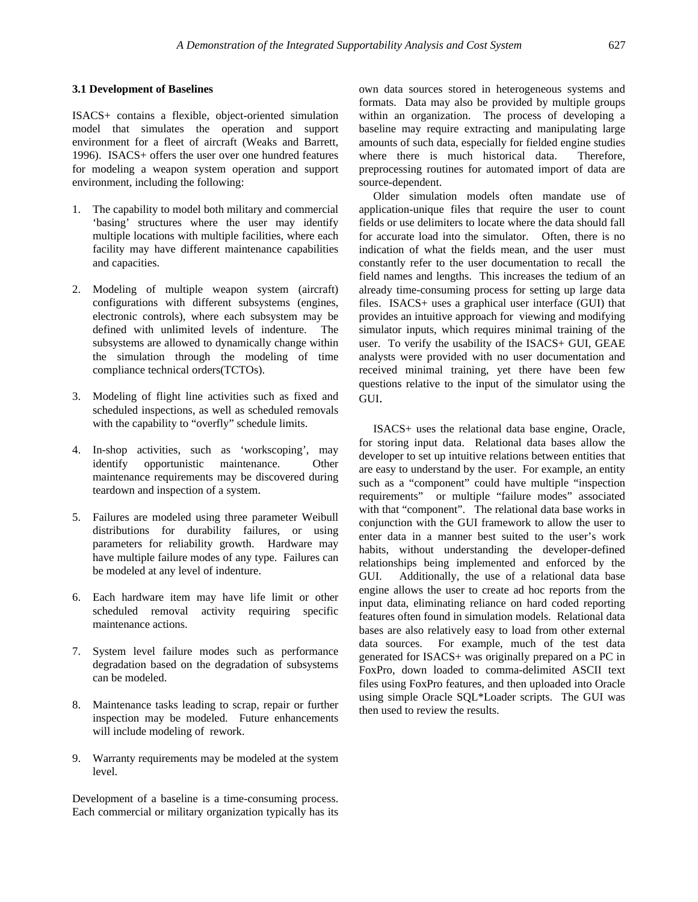### **3.1 Development of Baselines**

ISACS+ contains a flexible, object-oriented simulation model that simulates the operation and support environment for a fleet of aircraft (Weaks and Barrett, 1996). ISACS+ offers the user over one hundred features for modeling a weapon system operation and support environment, including the following:

- 1. The capability to model both military and commercial 'basing' structures where the user may identify multiple locations with multiple facilities, where each facility may have different maintenance capabilities and capacities.
- 2. Modeling of multiple weapon system (aircraft) configurations with different subsystems (engines, electronic controls), where each subsystem may be defined with unlimited levels of indenture. The subsystems are allowed to dynamically change within the simulation through the modeling of time compliance technical orders(TCTOs).
- 3. Modeling of flight line activities such as fixed and scheduled inspections, as well as scheduled removals with the capability to "overfly" schedule limits.
- 4. In-shop activities, such as 'workscoping', may identify opportunistic maintenance. Other maintenance requirements may be discovered during teardown and inspection of a system.
- 5. Failures are modeled using three parameter Weibull distributions for durability failures, or using parameters for reliability growth. Hardware may have multiple failure modes of any type. Failures can be modeled at any level of indenture.
- 6. Each hardware item may have life limit or other scheduled removal activity requiring specific maintenance actions.
- 7. System level failure modes such as performance degradation based on the degradation of subsystems can be modeled.
- 8. Maintenance tasks leading to scrap, repair or further inspection may be modeled. Future enhancements will include modeling of rework.
- 9. Warranty requirements may be modeled at the system level.

Development of a baseline is a time-consuming process. Each commercial or military organization typically has its own data sources stored in heterogeneous systems and formats. Data may also be provided by multiple groups within an organization. The process of developing a baseline may require extracting and manipulating large amounts of such data, especially for fielded engine studies where there is much historical data. Therefore, preprocessing routines for automated import of data are source-dependent.

 Older simulation models often mandate use of application-unique files that require the user to count fields or use delimiters to locate where the data should fall for accurate load into the simulator. Often, there is no indication of what the fields mean, and the user must constantly refer to the user documentation to recall the field names and lengths. This increases the tedium of an already time-consuming process for setting up large data files. ISACS+ uses a graphical user interface (GUI) that provides an intuitive approach for viewing and modifying simulator inputs, which requires minimal training of the user. To verify the usability of the ISACS+ GUI, GEAE analysts were provided with no user documentation and received minimal training, yet there have been few questions relative to the input of the simulator using the GUI.

 ISACS+ uses the relational data base engine, Oracle, for storing input data. Relational data bases allow the developer to set up intuitive relations between entities that are easy to understand by the user. For example, an entity such as a "component" could have multiple "inspection requirements" or multiple "failure modes" associated with that "component". The relational data base works in conjunction with the GUI framework to allow the user to enter data in a manner best suited to the user's work habits, without understanding the developer-defined relationships being implemented and enforced by the GUI. Additionally, the use of a relational data base engine allows the user to create ad hoc reports from the input data, eliminating reliance on hard coded reporting features often found in simulation models. Relational data bases are also relatively easy to load from other external data sources. For example, much of the test data generated for ISACS+ was originally prepared on a PC in FoxPro, down loaded to comma-delimited ASCII text files using FoxPro features, and then uploaded into Oracle using simple Oracle SQL\*Loader scripts. The GUI was then used to review the results.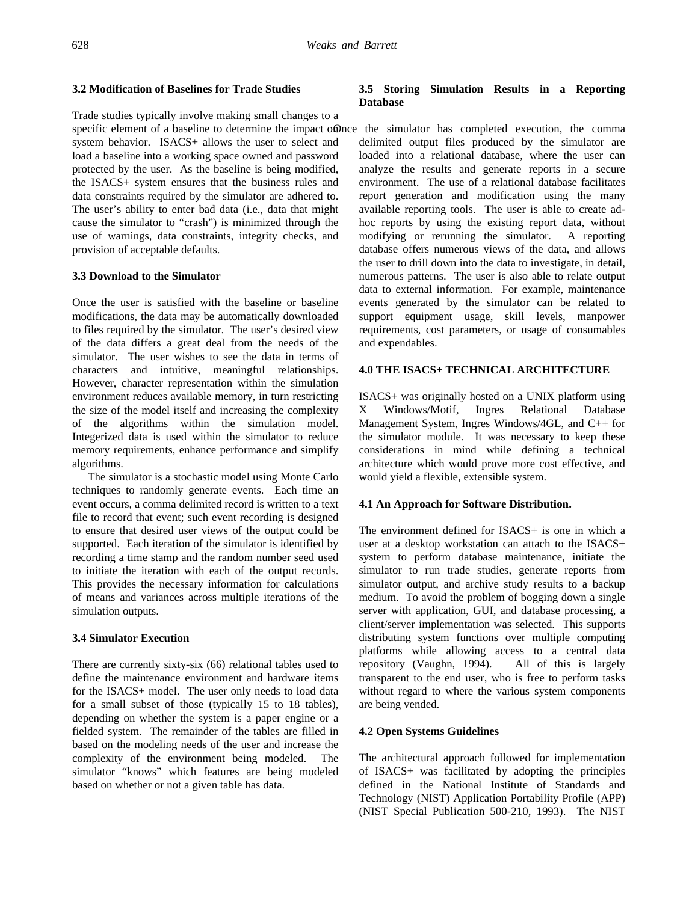### **3.2 Modification of Baselines for Trade Studies**

Trade studies typically involve making small changes to a specific element of a baseline to determine the impact of the simulator has completed execution, the comma system behavior. ISACS+ allows the user to select and load a baseline into a working space owned and password protected by the user. As the baseline is being modified, the ISACS+ system ensures that the business rules and data constraints required by the simulator are adhered to. The user's ability to enter bad data (i.e., data that might cause the simulator to "crash") is minimized through the use of warnings, data constraints, integrity checks, and provision of acceptable defaults.

### **3.3 Download to the Simulator**

Once the user is satisfied with the baseline or baseline modifications, the data may be automatically downloaded to files required by the simulator. The user's desired view of the data differs a great deal from the needs of the simulator. The user wishes to see the data in terms of characters and intuitive, meaningful relationships. However, character representation within the simulation environment reduces available memory, in turn restricting the size of the model itself and increasing the complexity of the algorithms within the simulation model. Integerized data is used within the simulator to reduce memory requirements, enhance performance and simplify algorithms.

 The simulator is a stochastic model using Monte Carlo techniques to randomly generate events. Each time an event occurs, a comma delimited record is written to a text file to record that event; such event recording is designed to ensure that desired user views of the output could be supported. Each iteration of the simulator is identified by recording a time stamp and the random number seed used to initiate the iteration with each of the output records. This provides the necessary information for calculations of means and variances across multiple iterations of the simulation outputs.

## **3.4 Simulator Execution**

There are currently sixty-six (66) relational tables used to define the maintenance environment and hardware items for the ISACS+ model. The user only needs to load data for a small subset of those (typically 15 to 18 tables), depending on whether the system is a paper engine or a fielded system. The remainder of the tables are filled in based on the modeling needs of the user and increase the complexity of the environment being modeled. The simulator "knows" which features are being modeled based on whether or not a given table has data.

# **3.5 Storing Simulation Results in a Reporting Database**

delimited output files produced by the simulator are loaded into a relational database, where the user can analyze the results and generate reports in a secure environment. The use of a relational database facilitates report generation and modification using the many available reporting tools. The user is able to create adhoc reports by using the existing report data, without modifying or rerunning the simulator. A reporting database offers numerous views of the data, and allows the user to drill down into the data to investigate, in detail, numerous patterns. The user is also able to relate output data to external information. For example, maintenance events generated by the simulator can be related to support equipment usage, skill levels, manpower requirements, cost parameters, or usage of consumables and expendables.

## **4.0 THE ISACS+ TECHNICAL ARCHITECTURE**

ISACS+ was originally hosted on a UNIX platform using X Windows/Motif, Ingres Relational Database Management System, Ingres Windows/4GL, and C++ for the simulator module. It was necessary to keep these considerations in mind while defining a technical architecture which would prove more cost effective, and would yield a flexible, extensible system.

#### **4.1 An Approach for Software Distribution.**

The environment defined for ISACS+ is one in which a user at a desktop workstation can attach to the ISACS+ system to perform database maintenance, initiate the simulator to run trade studies, generate reports from simulator output, and archive study results to a backup medium. To avoid the problem of bogging down a single server with application, GUI, and database processing, a client/server implementation was selected. This supports distributing system functions over multiple computing platforms while allowing access to a central data repository (Vaughn, 1994). All of this is largely transparent to the end user, who is free to perform tasks without regard to where the various system components are being vended.

### **4.2 Open Systems Guidelines**

The architectural approach followed for implementation of ISACS+ was facilitated by adopting the principles defined in the National Institute of Standards and Technology (NIST) Application Portability Profile (APP) (NIST Special Publication 500-210, 1993). The NIST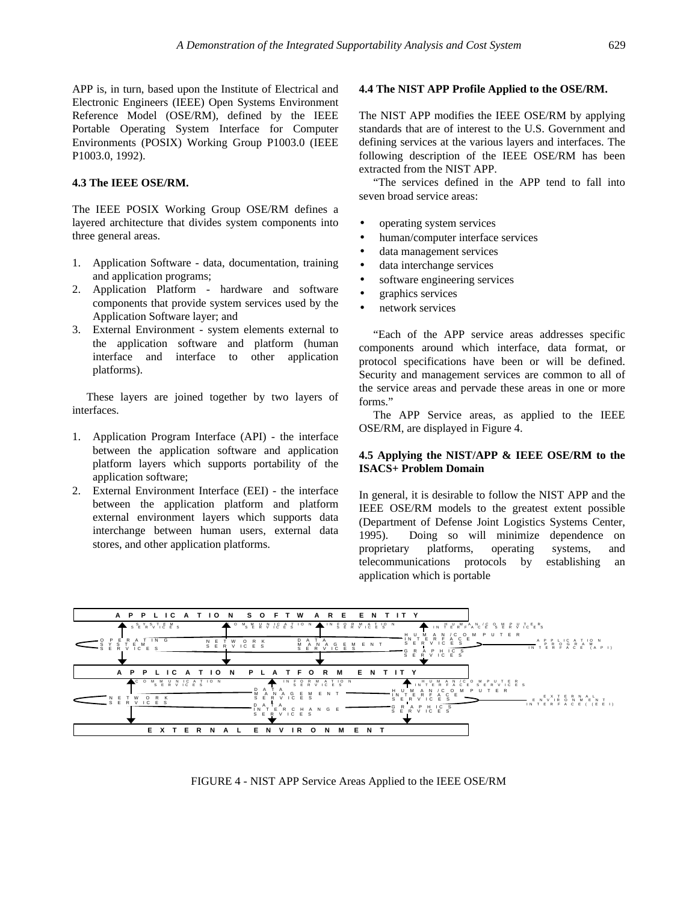APP is, in turn, based upon the Institute of Electrical and Electronic Engineers (IEEE) Open Systems Environment Reference Model (OSE/RM), defined by the IEEE Portable Operating System Interface for Computer Environments (POSIX) Working Group P1003.0 (IEEE P1003.0, 1992).

# **4.3 The IEEE OSE/RM.**

The IEEE POSIX Working Group OSE/RM defines a layered architecture that divides system components into three general areas.

- 1. Application Software data, documentation, training and application programs;
- 2. Application Platform hardware and software components that provide system services used by the Application Software layer; and
- 3. External Environment system elements external to the application software and platform (human interface and interface to other application platforms).

 These layers are joined together by two layers of interfaces.

- 1. Application Program Interface (API) the interface between the application software and application platform layers which supports portability of the application software;
- 2. External Environment Interface (EEI) the interface between the application platform and platform external environment layers which supports data interchange between human users, external data stores, and other application platforms.

#### **4.4 The NIST APP Profile Applied to the OSE/RM.**

The NIST APP modifies the IEEE OSE/RM by applying standards that are of interest to the U.S. Government and defining services at the various layers and interfaces. The following description of the IEEE OSE/RM has been extracted from the NIST APP.

 "The services defined in the APP tend to fall into seven broad service areas:

- operating system services
- human/computer interface services
- data management services
- data interchange services
- software engineering services
- graphics services
- network services

 "Each of the APP service areas addresses specific components around which interface, data format, or protocol specifications have been or will be defined. Security and management services are common to all of the service areas and pervade these areas in one or more forms."

 The APP Service areas, as applied to the IEEE OSE/RM, are displayed in Figure 4.

# **4.5 Applying the NIST/APP & IEEE OSE/RM to the ISACS+ Problem Domain**

In general, it is desirable to follow the NIST APP and the IEEE OSE/RM models to the greatest extent possible (Department of Defense Joint Logistics Systems Center, 1995). Doing so will minimize dependence on proprietary platforms, operating systems, and telecommunications protocols by establishing an application which is portable



FIGURE 4 - NIST APP Service Areas Applied to the IEEE OSE/RM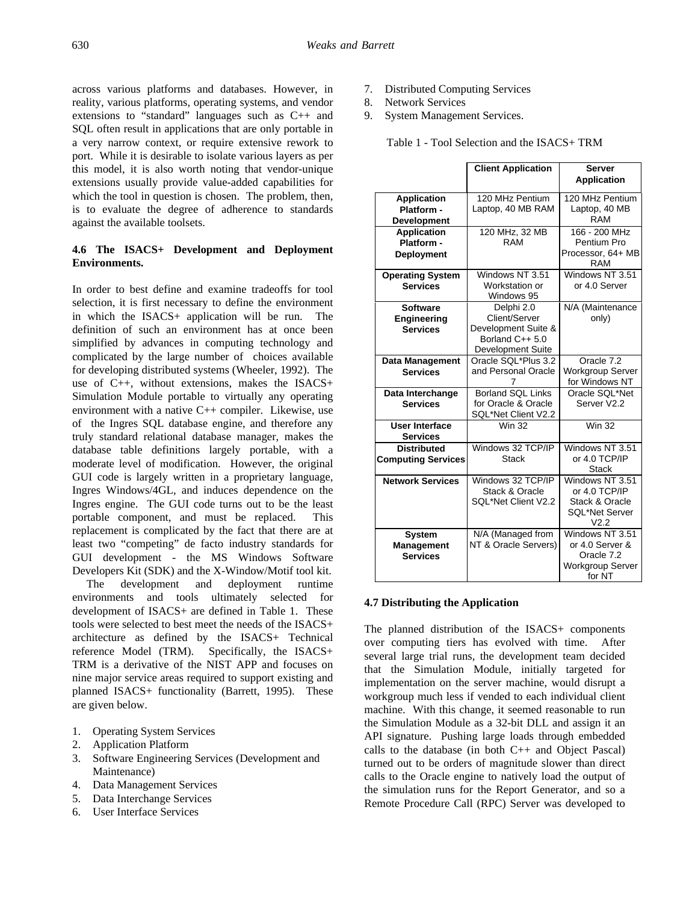across various platforms and databases. However, in reality, various platforms, operating systems, and vendor extensions to "standard" languages such as C++ and SQL often result in applications that are only portable in a very narrow context, or require extensive rework to port. While it is desirable to isolate various layers as per this model, it is also worth noting that vendor-unique extensions usually provide value-added capabilities for which the tool in question is chosen. The problem, then, is to evaluate the degree of adherence to standards against the available toolsets.

# **4.6 The ISACS+ Development and Deployment Environments.**

In order to best define and examine tradeoffs for tool selection, it is first necessary to define the environment in which the ISACS+ application will be run. The definition of such an environment has at once been simplified by advances in computing technology and complicated by the large number of choices available for developing distributed systems (Wheeler, 1992). The use of C++, without extensions, makes the ISACS+ Simulation Module portable to virtually any operating environment with a native C++ compiler. Likewise, use of the Ingres SQL database engine, and therefore any truly standard relational database manager, makes the database table definitions largely portable, with a moderate level of modification. However, the original GUI code is largely written in a proprietary language, Ingres Windows/4GL, and induces dependence on the Ingres engine. The GUI code turns out to be the least portable component, and must be replaced. This replacement is complicated by the fact that there are at least two "competing" de facto industry standards for GUI development - the MS Windows Software Developers Kit (SDK) and the X-Window/Motif tool kit.

 The development and deployment runtime environments and tools ultimately selected for development of ISACS+ are defined in Table 1. These tools were selected to best meet the needs of the ISACS+ architecture as defined by the ISACS+ Technical reference Model (TRM). Specifically, the ISACS+ TRM is a derivative of the NIST APP and focuses on nine major service areas required to support existing and planned ISACS+ functionality (Barrett, 1995). These are given below.

- 1. Operating System Services
- 2. Application Platform
- 3. Software Engineering Services (Development and Maintenance)
- 4. Data Management Services
- 5. Data Interchange Services
- 6. User Interface Services
- 7. Distributed Computing Services
- 8. Network Services
- 9. System Management Services.

Table 1 - Tool Selection and the ISACS+ TRM

|                                                 | <b>Client Application</b>                                  | <b>Server</b><br><b>Application</b>                                         |
|-------------------------------------------------|------------------------------------------------------------|-----------------------------------------------------------------------------|
| <b>Application</b>                              | 120 MHz Pentium                                            | 120 MHz Pentium                                                             |
| Platform -<br><b>Development</b>                | Laptop, 40 MB RAM                                          | Laptop, 40 MB<br><b>RAM</b>                                                 |
| <b>Application</b>                              | 120 MHz, 32 MB                                             | 166 - 200 MHz                                                               |
| Platform -<br><b>Deployment</b>                 | <b>RAM</b>                                                 | Pentium Pro<br>Processor, 64+ MB<br><b>RAM</b>                              |
| <b>Operating System</b><br><b>Services</b>      | Windows NT 3.51<br>Workstation or<br>Windows 95            | Windows NT 3.51<br>or 4.0 Server                                            |
| <b>Software</b>                                 | Delphi 2.0                                                 | N/A (Maintenance                                                            |
| <b>Engineering</b><br><b>Services</b>           | Client/Server<br>Development Suite &                       | only)                                                                       |
|                                                 | Borland C++ 5.0                                            |                                                                             |
|                                                 | <b>Development Suite</b>                                   |                                                                             |
| Data Management                                 | Oracle SQL*Plus 3.2                                        | Oracle 7.2                                                                  |
| <b>Services</b>                                 | and Personal Oracle<br>7                                   | <b>Workgroup Server</b><br>for Windows NT                                   |
| Data Interchange                                | <b>Borland SQL Links</b>                                   | Oracle SQL*Net                                                              |
| <b>Services</b>                                 | for Oracle & Oracle<br>SQL*Net Client V2.2                 | Server V2.2                                                                 |
| User Interface                                  | <b>Win 32</b>                                              | <b>Win 32</b>                                                               |
| <b>Services</b>                                 |                                                            |                                                                             |
| <b>Distributed</b><br><b>Computing Services</b> | Windows 32 TCP/IP<br><b>Stack</b>                          | Windows NT 3.51<br>or 4.0 TCP/IP<br><b>Stack</b>                            |
| <b>Network Services</b>                         | Windows 32 TCP/IP<br>Stack & Oracle<br>SQL*Net Client V2.2 | Windows NT 3.51<br>or 4.0 TCP/IP<br>Stack & Oracle<br><b>SQL*Net Server</b> |
|                                                 |                                                            | V <sub>2.2</sub>                                                            |
| System                                          | N/A (Managed from                                          | Windows NT 3.51                                                             |
| Management                                      | NT & Oracle Servers)                                       | or 4.0 Server &                                                             |
| <b>Services</b>                                 |                                                            | Oracle 7.2<br>Workgroup Server<br>for NT                                    |

#### **4.7 Distributing the Application**

The planned distribution of the ISACS+ components over computing tiers has evolved with time. After several large trial runs, the development team decided that the Simulation Module, initially targeted for implementation on the server machine, would disrupt a workgroup much less if vended to each individual client machine. With this change, it seemed reasonable to run the Simulation Module as a 32-bit DLL and assign it an API signature. Pushing large loads through embedded calls to the database (in both  $C_{++}$  and Object Pascal) turned out to be orders of magnitude slower than direct calls to the Oracle engine to natively load the output of the simulation runs for the Report Generator, and so a Remote Procedure Call (RPC) Server was developed to